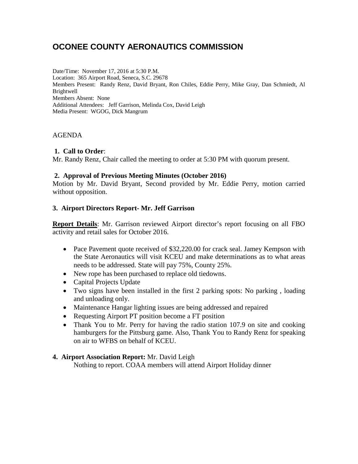# **OCONEE COUNTY AERONAUTICS COMMISSION**

Date/Time: November 17, 2016 at 5:30 P.M. Location: 365 Airport Road, Seneca, S.C. 29678 Members Present: Randy Renz, David Bryant, Ron Chiles, Eddie Perry, Mike Gray, Dan Schmiedt, Al **Brightwell** Members Absent: None Additional Attendees: Jeff Garrison, Melinda Cox, David Leigh Media Present: WGOG, Dick Mangrum

## AGENDA

## **1. Call to Order**:

Mr. Randy Renz, Chair called the meeting to order at 5:30 PM with quorum present.

#### **2. Approval of Previous Meeting Minutes (October 2016)**

Motion by Mr. David Bryant, Second provided by Mr. Eddie Perry, motion carried without opposition.

## **3. Airport Directors Report- Mr. Jeff Garrison**

**Report Details**: Mr. Garrison reviewed Airport director's report focusing on all FBO activity and retail sales for October 2016.

- Pace Pavement quote received of \$32,220.00 for crack seal. Jamey Kempson with the State Aeronautics will visit KCEU and make determinations as to what areas needs to be addressed. State will pay 75%, County 25%.
- New rope has been purchased to replace old tiedowns.
- Capital Projects Update
- Two signs have been installed in the first 2 parking spots: No parking , loading and unloading only.
- Maintenance Hangar lighting issues are being addressed and repaired
- Requesting Airport PT position become a FT position
- Thank You to Mr. Perry for having the radio station 107.9 on site and cooking hamburgers for the Pittsburg game. Also, Thank You to Randy Renz for speaking on air to WFBS on behalf of KCEU.

#### **4. Airport Association Report:** Mr. David Leigh

Nothing to report. COAA members will attend Airport Holiday dinner